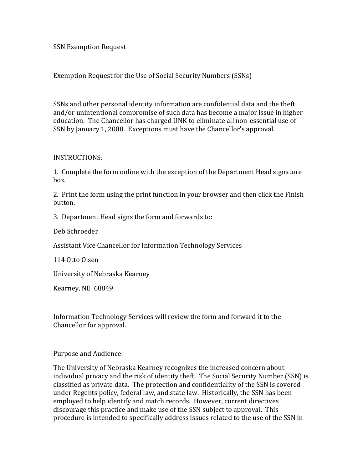SSN Exemption Request

Exemption Request for the Use of Social Security Numbers (SSNs)

SSNs and other personal identity information are confidential data and the theft and/or unintentional compromise of such data has become a major issue in higher education. The Chancellor has charged UNK to eliminate all non-essential use of SSN by January 1, 2008. Exceptions must have the Chancellor's approval.

#### INSTRUCTIONS:

1. Complete the form online with the exception of the Department Head signature box.

2. Print the form using the print function in your browser and then click the Finish button.

3. Department Head signs the form and forwards to:

Deb Schroeder

Assistant Vice Chancellor for Information Technology Services

114 Otto Olsen

University of Nebraska Kearney

Kearney, NE 68849

Information Technology Services will review the form and forward it to the Chancellor for approval.

Purpose and Audience:

The University of Nebraska Kearney recognizes the increased concern about individual privacy and the risk of identity theft. The Social Security Number (SSN) is classified as private data. The protection and confidentiality of the SSN is covered under Regents policy, federal law, and state law. Historically, the SSN has been employed to help identify and match records. However, current directives discourage this practice and make use of the SSN subject to approval. This procedure is intended to specifically address issues related to the use of the SSN in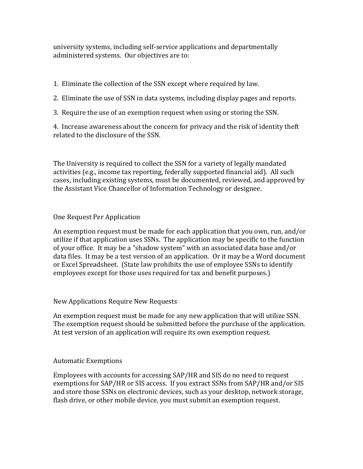university systems, including self-service applications and departmentally administered systems. Our objectives are to:

1. Eliminate the collection of the SSN except where required by law.

2. Eliminate the use of SSN in data systems, including display pages and reports.

3. Require the use of an exemption request when using or storing the SSN.

4. Increase awareness about the concern for privacy and the risk of identity theft related to the disclosure of the SSN.

The University is required to collect the SSN for a variety of legally mandated activities (e.g., income tax reporting, federally supported financial aid). All such cases, including existing systems, must be documented, reviewed, and approved by the Assistant Vice Chancellor of Information Technology or designee.

## One Request Per Application

An exemption request must be made for each application that you own, run, and/or utilize if that application uses SSNs. The application may be specific to the function of your office. It may be a "shadow system" with an associated data base and/or data files. It may be a test version of an application. Or it may be a Word document or Excel Spreadsheet. (State law prohibits the use of employee SSNs to identify employees except for those uses required for tax and benefit purposes.)

### New Applications Require New Requests

An exemption request must be made for any new application that will utilize SSN. The exemption request should be submitted before the purchase of the application. At test version of an application will require its own exemption request.

### Automatic Exemptions

Employees with accounts for accessing SAP/HR and SIS do no need to request exemptions for SAP/HR or SIS access. If you extract SSNs from SAP/HR and/or SIS and store those SSNs on electronic devices, such as your desktop, network storage, flash drive, or other mobile device, you must submit an exemption request.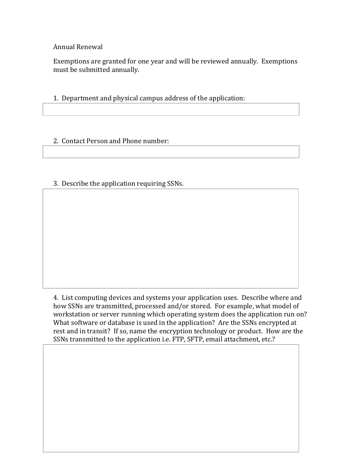Annual Renewal

Exemptions are granted for one year and will be reviewed annually. Exemptions must be submitted annually.

1. Department and physical campus address of the application:

## 2. Contact Person and Phone number:

# 3. Describe the application requiring SSNs.

4. List computing devices and systems your application uses. Describe where and how SSNs are transmitted, processed and/or stored. For example, what model of workstation or server running which operating system does the application run on? What software or database is used in the application? Are the SSNs encrypted at rest and in transit? If so, name the encryption technology or product. How are the SSNs transmitted to the application i.e. FTP, SFTP, email attachment, etc.?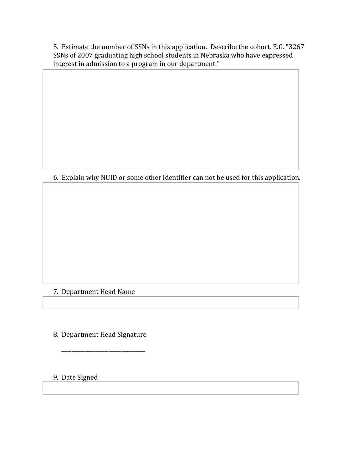5. Estimate the number of SSNs in this application. Describe the cohort. E.G. "3267 SSNs of 2007 graduating high school students in Nebraska who have expressed interest in admission to a program in our department."

6. Explain why NUID or some other identifier can not be used for this application.

### 7. Department Head Name

8. Department Head Signature

\_\_\_\_\_\_\_\_\_\_\_\_\_\_\_\_\_\_\_\_\_\_\_\_\_\_\_\_\_\_\_\_

9. Date Signed